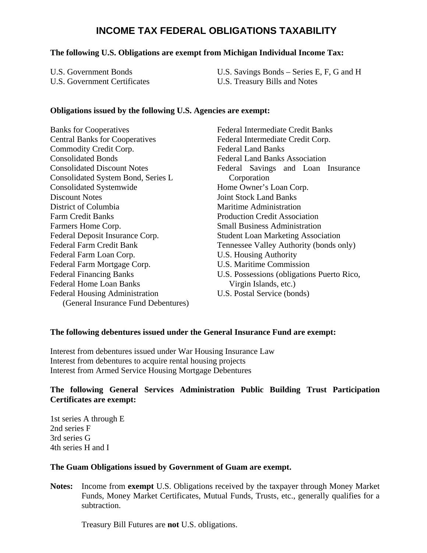# **INCOME TAX FEDERAL OBLIGATIONS TAXABILITY**

#### **The following U.S. Obligations are exempt from Michigan Individual Income Tax:**

| U.S. Government Bonds        | U.S. Savings Bonds – Series E, F, G and H |
|------------------------------|-------------------------------------------|
| U.S. Government Certificates | U.S. Treasury Bills and Notes             |

#### **Obligations issued by the following U.S. Agencies are exempt:**

Banks for Cooperatives Central Banks for Cooperatives Commodity Credit Corp. Consolidated Bonds Consolidated Discount Notes Consolidated System Bond, Series L Consolidated Systemwide Discount Notes District of Columbia Farm Credit Banks Farmers Home Corp. Federal Deposit Insurance Corp. Federal Farm Credit Bank Federal Farm Loan Corp. Federal Farm Mortgage Corp. Federal Financing Banks Federal Home Loan Banks Federal Housing Administration (General Insurance Fund Debentures) Federal Intermediate Credit Banks Federal Intermediate Credit Corp. Federal Land Banks Federal Land Banks Association Federal Savings and Loan Insurance Corporation Home Owner's Loan Corp. Joint Stock Land Banks Maritime Administration Production Credit Association Small Business Administration Student Loan Marketing Association Tennessee Valley Authority (bonds only) U.S. Housing Authority U.S. Maritime Commission U.S. Possessions (obligations Puerto Rico, Virgin Islands, etc.) U.S. Postal Service (bonds)

## **The following debentures issued under the General Insurance Fund are exempt:**

Interest from debentures issued under War Housing Insurance Law Interest from debentures to acquire rental housing projects Interest from Armed Service Housing Mortgage Debentures

## **The following General Services Administration Public Building Trust Participation Certificates are exempt:**

1st series A through E 2nd series F 3rd series G 4th series H and I

#### **The Guam Obligations issued by Government of Guam are exempt.**

**Notes:** Income from **exempt** U.S. Obligations received by the taxpayer through Money Market Funds, Money Market Certificates, Mutual Funds, Trusts, etc., generally qualifies for a subtraction.

Treasury Bill Futures are **not** U.S. obligations.